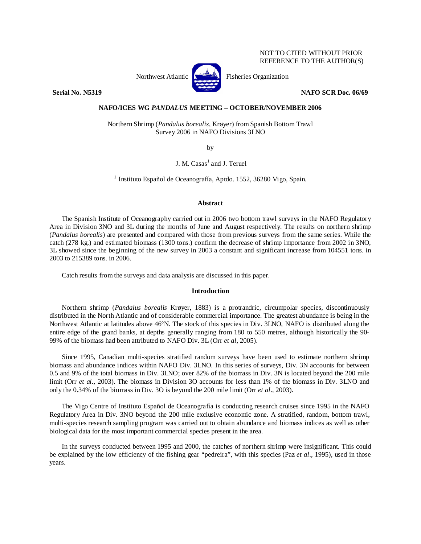## NOT TO CITED WITHOUT PRIOR REFERENCE TO THE AUTHOR(S)



Northwest Atlantic **No. 3. Expansion** Fisheries Organization

**Serial No. N5319 NAFO SCR Doc. 06/69** 

# **NAFO/ICES WG** *PANDALUS* **MEETING – OCTOBER/NOVEMBER 2006**

Northern Shrimp (*Pandalus borealis*, Krøyer) from Spanish Bottom Trawl Survey 2006 in NAFO Divisions 3LNO

by

J. M. Casas<sup>1</sup> and J. Teruel

 $<sup>1</sup>$  Instituto Español de Oceanografía, Aptdo. 1552, 36280 Vigo, Spain.</sup>

### **Abstract**

The Spanish Institute of Oceanography carried out in 2006 two bottom trawl surveys in the NAFO Regulatory Area in Division 3NO and 3L during the months of June and August respectively. The results on northern shrimp (*Pandalus borealis*) are presented and compared with those from previous surveys from the same series. While the catch (278 kg.) and estimated biomass (1300 tons.) confirm the decrease of shrimp importance from 2002 in 3NO, 3L showed since the beginning of the new survey in 2003 a constant and significant increase from 104551 tons. in 2003 to 215389 tons. in 2006.

Catch results from the surveys and data analysis are discussed in this paper.

### **Introduction**

Northern shrimp (*Pandalus borealis* Krøyer, 1883) is a protrandric, circumpolar species, discontinuously distributed in the North Atlantic and of considerable commercial importance. The greatest abundance is being in the Northwest Atlantic at latitudes above 46ºN. The stock of this species in Div. 3LNO, NAFO is distributed along the entire edge of the grand banks, at depths generally ranging from 180 to 550 metres, although historically the 90- 99% of the biomass had been attributed to NAFO Div. 3L (Orr *et al*, 2005).

Since 1995, Canadian multi-species stratified random surveys have been used to estimate northern shrimp biomass and abundance indices within NAFO Div. 3LNO. In this series of surveys, Div. 3N accounts for between 0.5 and 9% of the total biomass in Div. 3LNO; over 82% of the biomass in Div. 3N is located beyond the 200 mile limit (Orr *et al*., 2003). The biomass in Division 3O accounts for less than 1% of the biomass in Div. 3LNO and only the 0.34% of the biomass in Div. 3O is beyond the 200 mile limit (Orr *et al*., 2003).

The Vigo Centre of Instituto Español de Oceanografía is conducting research cruises since 1995 in the NAFO Regulatory Area in Div. 3NO beyond the 200 mile exclusive economic zone. A stratified, random, bottom trawl, multi-species research sampling program was carried out to obtain abundance and biomass indices as well as other biological data for the most important commercial species present in the area.

In the surveys conducted between 1995 and 2000, the catches of northern shrimp were insignificant. This could be explained by the low efficiency of the fishing gear "pedreira", with this species (Paz *et al*., 1995), used in those years.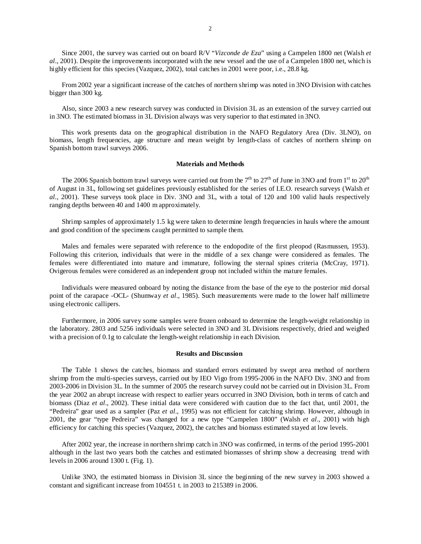Since 2001, the survey was carried out on board R/V "*Vizconde de Eza*" using a Campelen 1800 net (Walsh *et al*., 2001). Despite the improvements incorporated with the new vessel and the use of a Campelen 1800 net, which is highly efficient for this species (Vazquez, 2002), total catches in 2001 were poor, i.e., 28.8 kg.

From 2002 year a significant increase of the catches of northern shrimp was noted in 3NO Division with catches bigger than 300 kg.

Also, since 2003 a new research survey was conducted in Division 3L as an extension of the survey carried out in 3NO. The estimated biomass in 3L Division always was very superior to that estimated in 3NO.

This work presents data on the geographical distribution in the NAFO Regulatory Area (Div. 3LNO), on biomass, length frequencies, age structure and mean weight by length-class of catches of northern shrimp on Spanish bottom trawl surveys 2006.

#### **Materials and Methods**

The 2006 Spanish bottom trawl surveys were carried out from the  $7<sup>th</sup>$  to  $27<sup>th</sup>$  of June in 3NO and from  $1<sup>st</sup>$  to  $20<sup>th</sup>$ of August in 3L, following set guidelines previously established for the series of I.E.O. research surveys (Walsh *et al.*, 2001). These surveys took place in Div. 3NO and 3L, with a total of 120 and 100 valid hauls respectively ranging depths between 40 and 1400 m approximately.

Shrimp samples of approximately 1.5 kg were taken to determine length frequencies in hauls where the amount and good condition of the specimens caught permitted to sample them.

Males and females were separated with reference to the endopodite of the first pleopod (Rasmussen, 1953). Following this criterion, individuals that were in the middle of a sex change were considered as females. The females were differentiated into mature and immature, following the sternal spines criteria (McCray, 1971). Ovigerous females were considered as an independent group not included within the mature females.

Individuals were measured onboard by noting the distance from the base of the eye to the posterior mid dorsal point of the carapace -OCL- (Shumway *et al*., 1985). Such measurements were made to the lower half millimetre using electronic callipers.

Furthermore, in 2006 survey some samples were frozen onboard to determine the length-weight relationship in the laboratory. 2803 and 5256 individuals were selected in 3NO and 3L Divisions respectively, dried and weighed with a precision of 0.1g to calculate the length-weight relationship in each Division.

#### **Results and Discussion**

The Table 1 shows the catches, biomass and standard errors estimated by swept area method of northern shrimp from the multi-species surveys, carried out by IEO Vigo from 1995-2006 in the NAFO Div. 3NO and from 2003-2006 in Division 3L. In the summer of 2005 the research survey could not be carried out in Division 3L. From the year 2002 an abrupt increase with respect to earlier years occurred in 3NO Division, both in terms of catch and biomass (Diaz *et al*., 2002). These initial data were considered with caution due to the fact that, until 2001, the "Pedreira" gear used as a sampler (Paz *et al*., 1995) was not efficient for catching shrimp. However, although in 2001, the gear "type Pedreira" was changed for a new type "Campelen 1800" (Walsh *et al*., 2001) with high efficiency for catching this species (Vazquez, 2002), the catches and biomass estimated stayed at low levels.

After 2002 year, the increase in northern shrimp catch in 3NO was confirmed, in terms of the period 1995-2001 although in the last two years both the catches and estimated biomasses of shrimp show a decreasing trend with levels in 2006 around 1300 t. (Fig. 1).

Unlike 3NO, the estimated biomass in Division 3L since the beginning of the new survey in 2003 showed a constant and significant increase from 104551 t. in 2003 to 215389 in 2006.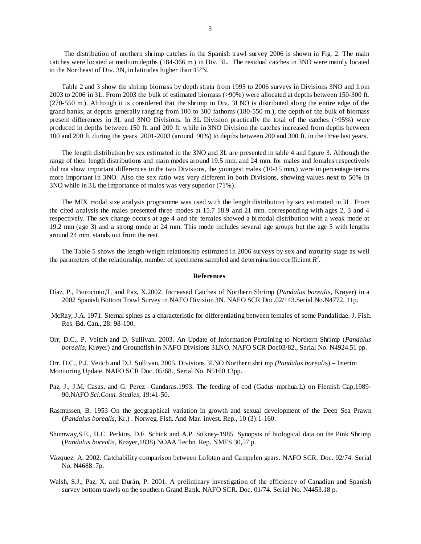The distribution of northern shrimp catches in the Spanish trawl survey 2006 is shown in Fig. 2. The main catches were located at medium depths (184-366 m.) in Div. 3L. The residual catches in 3NO were mainly located to the Northeast of Div. 3N, in latitudes higher than 45ºN.

Table 2 and 3 show the shrimp biomass by depth strata from 1995 to 2006 surveys in Divisions 3NO and from 2003 to 2006 in 3L. From 2003 the bulk of estimated biomass (>90%) were allocated at depths between 150-300 ft. (270-550 m.). Although it is considered that the shrimp in Div. 3LNO is distributed along the entire edge of the grand banks, at depths generally ranging from 100 to 300 fathoms (180-550 m.), the depth of the bulk of biomass present differences in 3L and 3NO Divisions. In 3L Division practically the total of the catches (>95%) were produced in depths between 150 ft. and 200 ft. while in 3NO Division the catches increased from depths between 100 and 200 ft. during the years 2001-2003 (around 90%) to depths between 200 and 300 ft. in the three last years.

The length distribution by sex estimated in the 3NO and 3L are presented in table 4 and figure 3. Although the range of their length distributions and main modes around 19.5 mm. and 24 mm. for males and females respectively did not show important differences in the two Divisions, the youngest males (10-15 mm.) were in percentage terms more important in 3NO. Also the sex ratio was very different in both Divisions, showing values next to 50% in 3NO while in 3L the importance of males was very superior (71%).

The MIX modal size analysis programme was used with the length distribution by sex estimated in 3L. From the cited analysis the males presented three modes at 15.7 18.9 and 21 mm. corresponding with ages 2, 3 and 4 respectively. The sex change occurs at age 4 and the females showed a bimodal distribution with a weak mode at 19.2 mm (age 3) and a strong mode at 24 mm. This mode includes several age groups but the age 5 with lengths around 24 mm. stands out from the rest.

The Table 5 shows the length-weight relationship estimated in 2006 surveys by sex and maturity stage as well the parameters of the relationship, number of specimens sampled and determination coefficient  $R^2$ .

### **References**

- Díaz, P., Patrocinio,T. and Paz, X.2002. Increased Catches of Northern Shrimp (*Pandalus borealis*, Krøyer) in a 2002 Spanish Bottom Trawl Survey in NAFO Division 3N. NAFO SCR Doc.02/143.Serial No.N4772. 11p.
- McRay, J.A. 1971. Sternal spines as a characteristic for differentiating between females of some Pandalidae. J. Fish. Res. Bd. Can., 28: 98-100.
- Orr, D.C., P. Veitch and D. Sullivan. 2003. An Update of Information Pertaining to Northern Shrimp (*Pandalus borealis*, Krøyer) and Groundfish in NAFO Divisions 3LNO. NAFO SCR Doc03/82., Serial No. N4924.51 pp.
- Orr, D.C., P.J. Veitch and D.J. Sullivan. 2005. Divisions 3LNO Northern shri mp *(Pandalus boreali*s) Interim Monitoring Update. NAFO SCR Doc. 05/68., Serial No. N5160 13pp.
- Paz, J., J.M. Casas, and G. Perez –Gandaras.1993. The feeding of cod (Gadus morhua.L) on Flemish Cap,1989- 90.NAFO *Sci.Coun. Studies*, 19:41-50.
- Rasmussen, B. 1953 On the geographical variation in growth and sexual development of the Deep Sea Prawn (*Pandalus borealis*, Kr.) . Norweg. Fish. And Mar. invest. Rep., 10 (3):1-160.
- Shumway,S.E., H.C. Perkins, D.F. Schick and A.P. Stikney-1985. Synopsis of biological data on the Pink Shrimp (*Pandalus borealis*, Krøyer,1838).NOAA Techn. Rep. NMFS 30,57 p.
- Vázquez, A. 2002. Catchability comparison between Lofoten and Campelen gears. NAFO SCR. Doc. 02/74. Serial No. N4688. 7p.
- Walsh, S.J., Paz, X. and Durán, P. 2001. A preliminary investigation of the efficiency of Canadian and Spanish survey bottom trawls on the southern Grand Bank. NAFO SCR. Doc. 01/74. Serial No. N4453.18 p.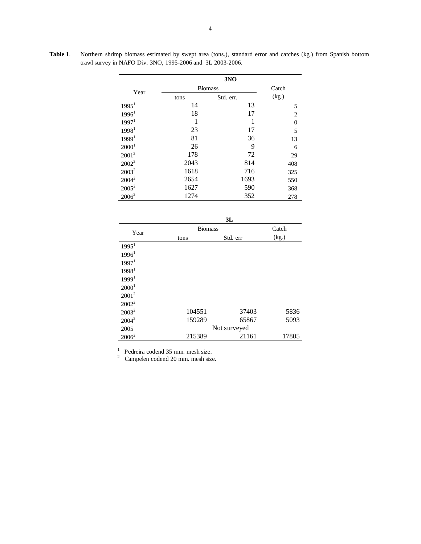|                   | 3NO            |           |                |  |  |  |  |
|-------------------|----------------|-----------|----------------|--|--|--|--|
| Year              | <b>Biomass</b> | Catch     |                |  |  |  |  |
|                   | tons           | Std. err. | (kg.)          |  |  |  |  |
| 1995 <sup>1</sup> | 14             | 13        | 5              |  |  |  |  |
| 1996 <sup>1</sup> | 18             | 17        | $\overline{2}$ |  |  |  |  |
| 1997 <sup>1</sup> | 1              | 1         | $\theta$       |  |  |  |  |
| 1998 <sup>1</sup> | 23             | 17        | 5              |  |  |  |  |
| 1999 <sup>1</sup> | 81             | 36        | 13             |  |  |  |  |
| 2000 <sup>1</sup> | 26             | 9         | 6              |  |  |  |  |
| $2001^2$          | 178            | 72        | 29             |  |  |  |  |
| $2002^2$          | 2043           | 814       | 408            |  |  |  |  |
| $2003^2$          | 1618           | 716       | 325            |  |  |  |  |
| $2004^2$          | 2654           | 1693      | 550            |  |  |  |  |
| $2005^2$          | 1627           | 590       | 368            |  |  |  |  |
| $2006^2$          | 1274           | 352       | 278            |  |  |  |  |

**Table 1**. Northern shrimp biomass estimated by swept area (tons.), standard error and catches (kg.) from Spanish bottom trawl survey in NAFO Div. 3NO, 1995-2006 and 3L 2003-2006.

|                   |                | 3L       |       |  |  |  |
|-------------------|----------------|----------|-------|--|--|--|
| Year              | <b>Biomass</b> | Catch    |       |  |  |  |
|                   | tons           | Std. err | (kg.) |  |  |  |
| 1995 <sup>1</sup> |                |          |       |  |  |  |
| 1996 <sup>1</sup> |                |          |       |  |  |  |
| 1997 <sup>1</sup> |                |          |       |  |  |  |
| 1998 <sup>1</sup> |                |          |       |  |  |  |
| 1999 <sup>1</sup> |                |          |       |  |  |  |
| 2000 <sup>1</sup> |                |          |       |  |  |  |
| $2001^2$          |                |          |       |  |  |  |
| $2002^2$          |                |          |       |  |  |  |
| $2003^2$          | 104551         | 37403    | 5836  |  |  |  |
| $2004^2$          | 159289         | 65867    | 5093  |  |  |  |
| 2005              | Not surveyed   |          |       |  |  |  |
| $2006^2$          | 215389         | 21161    | 17805 |  |  |  |

Pedreira codend 35 mm. mesh size. 2 Campelen codend 20 mm. mesh size.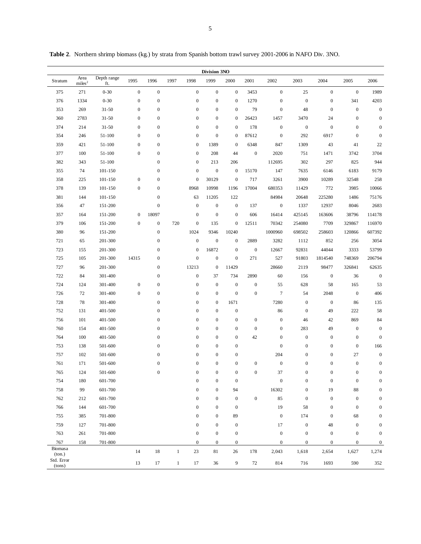|                      | Division 3NO               |                    |                  |                                      |              |                                      |                                      |                          |                  |                      |                                      |                        |                  |                  |
|----------------------|----------------------------|--------------------|------------------|--------------------------------------|--------------|--------------------------------------|--------------------------------------|--------------------------|------------------|----------------------|--------------------------------------|------------------------|------------------|------------------|
| Stratum              | Area<br>miles <sup>2</sup> | Depth range<br>ft. | 1995             | 1996                                 | 1997         | 1998                                 | 1999                                 | 2000                     | 2001             | 2002                 | 2003                                 | 2004                   | 2005             | 2006             |
| 375                  | 271                        | $0 - 30$           | $\boldsymbol{0}$ | $\boldsymbol{0}$                     |              | $\boldsymbol{0}$                     | $\boldsymbol{0}$                     | $\mathbf{0}$             | 3453             | $\mathbf{0}$         | 25                                   | $\boldsymbol{0}$       | $\mathbf 0$      | 1989             |
| 376                  | 1334                       | $0 - 30$           | $\boldsymbol{0}$ | $\boldsymbol{0}$                     |              | $\boldsymbol{0}$                     | $\boldsymbol{0}$                     | $\boldsymbol{0}$         | 1270             | $\boldsymbol{0}$     | $\boldsymbol{0}$                     | $\boldsymbol{0}$       | 341              | 4203             |
| 353                  | 269                        | $31 - 50$          | $\boldsymbol{0}$ | $\boldsymbol{0}$                     |              | $\boldsymbol{0}$                     | $\boldsymbol{0}$                     | $\boldsymbol{0}$         | 79               | $\boldsymbol{0}$     | 48                                   | $\boldsymbol{0}$       | $\boldsymbol{0}$ | $\boldsymbol{0}$ |
| 360                  | 2783                       | $31 - 50$          | $\boldsymbol{0}$ | $\boldsymbol{0}$                     |              | $\boldsymbol{0}$                     | $\boldsymbol{0}$                     | $\boldsymbol{0}$         | 26423            | 1457                 | 3470                                 | 24                     | $\boldsymbol{0}$ | $\boldsymbol{0}$ |
| 374                  | 214                        | $31 - 50$          | $\boldsymbol{0}$ | $\boldsymbol{0}$                     |              | $\boldsymbol{0}$                     | $\boldsymbol{0}$                     | $\boldsymbol{0}$         | 178              | $\boldsymbol{0}$     | $\boldsymbol{0}$                     | $\boldsymbol{0}$       | $\mathbf{0}$     | $\boldsymbol{0}$ |
| 354                  | 246                        | 51-100             | $\boldsymbol{0}$ | $\boldsymbol{0}$                     |              | $\boldsymbol{0}$                     | $\boldsymbol{0}$                     | $\boldsymbol{0}$         | 87612            | $\boldsymbol{0}$     | 292                                  | 6917                   | $\mathbf{0}$     | $\boldsymbol{0}$ |
| 359                  | 421                        | 51-100             | $\boldsymbol{0}$ | $\boldsymbol{0}$                     |              | $\boldsymbol{0}$                     | 1389                                 | $\mathbf{0}$             | 6348             | 847                  | 1309                                 | 43                     | 41               | $22\,$           |
| 377                  | 100                        | 51-100             | $\boldsymbol{0}$ | $\boldsymbol{0}$                     |              | $\boldsymbol{0}$                     | 208                                  | 44                       | $\boldsymbol{0}$ | 2020                 | 751                                  | 1471                   | 3742             | 3704             |
| 382                  | 343                        | 51-100             |                  | $\boldsymbol{0}$                     |              | $\boldsymbol{0}$                     | 213                                  | 206                      |                  | 112695               | 302                                  | 297                    | 825              | 944              |
| 355                  | 74                         | 101-150            |                  | $\boldsymbol{0}$                     |              | $\boldsymbol{0}$                     | $\boldsymbol{0}$                     | $\mathbf{0}$             | 15170            | 147                  | 7635                                 | 6146                   | 6183             | 9179             |
| 358                  | 225                        | 101-150            | $\boldsymbol{0}$ | $\boldsymbol{0}$                     |              | $\boldsymbol{0}$                     | 30129                                | $\boldsymbol{0}$         | 717              | 3261                 | 3900                                 | 10289                  | 32548            | 258              |
| 378                  | 139                        | 101-150            | $\boldsymbol{0}$ | $\boldsymbol{0}$                     |              | 8968                                 | 10998                                | 1196                     | 17004            | 680353               | 11429                                | 772                    | 3985             | 10066            |
| 381                  | 144                        | 101-150            |                  | $\boldsymbol{0}$                     |              | 63                                   | 11205                                | 122                      |                  | 84984                | 20648                                | 225280                 | 1486             | 75176            |
| 356                  | 47                         | 151-200            |                  | $\boldsymbol{0}$                     |              | $\boldsymbol{0}$                     | $\boldsymbol{0}$                     | $\boldsymbol{0}$         | 137              | $\boldsymbol{0}$     | 1337                                 | 12937                  | 8046             | 2683             |
| 357                  | 164                        | 151-200            | $\mathbf{0}$     | 18097                                |              | $\boldsymbol{0}$                     | $\boldsymbol{0}$                     | $\boldsymbol{0}$         | 606              | 16414                | 425145                               | 163606                 | 38796            | 114178           |
| 379                  | 106                        | 151-200            | $\boldsymbol{0}$ | $\boldsymbol{0}$                     | 720          | $\boldsymbol{0}$                     | 135                                  | $\boldsymbol{0}$         | 12511            | 70342                | 254080                               | 7709                   | 329867           | 116970           |
| 380                  | 96                         | 151-200            |                  | $\boldsymbol{0}$                     |              | 1024                                 | 9346                                 | 10240                    |                  | 1000960              | 698502                               | 258603                 | 120866           | 607392           |
| 721                  | 65                         | 201-300            |                  | $\boldsymbol{0}$                     |              | $\boldsymbol{0}$                     | $\boldsymbol{0}$                     | $\boldsymbol{0}$         | 2889             | 3282                 | 1112                                 | 852                    | 256              | 3054             |
| 723                  | 155                        | 201-300            |                  | $\boldsymbol{0}$                     |              | $\boldsymbol{0}$                     | 16872                                | $\boldsymbol{0}$         | $\boldsymbol{0}$ | 12667                | 92831                                | 44044                  | 3333             | 53799            |
| 725                  | 105                        | 201-300            | 14315            | $\boldsymbol{0}$                     |              | $\boldsymbol{0}$                     | $\boldsymbol{0}$                     | $\boldsymbol{0}$         | 271              | 527                  | 91803                                | 1814540                | 748369           | 206794           |
| 727                  | 96                         | 201-300            |                  | $\boldsymbol{0}$                     |              | 13213                                | $\boldsymbol{0}$                     | 11429                    |                  | 28660                | 2119                                 | 98477                  | 326841           | 62635            |
| 722                  | 84                         | 301-400            |                  | $\boldsymbol{0}$                     |              | $\boldsymbol{0}$                     | 37                                   | 734                      | 2890             | 60                   | 156                                  | $\boldsymbol{0}$       | 36               | $\boldsymbol{0}$ |
| 724                  | 124                        | 301-400            | $\boldsymbol{0}$ | $\boldsymbol{0}$                     |              | $\boldsymbol{0}$                     | $\mathbf{0}$                         | $\boldsymbol{0}$         | $\boldsymbol{0}$ | 55<br>$\overline{7}$ | 628                                  | 58                     | 165              | 53               |
| 726                  | 72                         | 301-400            | $\boldsymbol{0}$ | $\boldsymbol{0}$                     |              | $\boldsymbol{0}$                     | $\boldsymbol{0}$                     | $\mathbf{0}$             | $\mathbf{0}$     |                      | 54                                   | 2048                   | $\mathbf{0}$     | 406              |
| 728<br>752           | 78<br>131                  | 301-400<br>401-500 |                  | $\boldsymbol{0}$<br>$\boldsymbol{0}$ |              | $\boldsymbol{0}$<br>$\boldsymbol{0}$ | $\boldsymbol{0}$<br>$\boldsymbol{0}$ | 1671<br>$\boldsymbol{0}$ |                  | 7280<br>86           | $\boldsymbol{0}$<br>$\boldsymbol{0}$ | $\boldsymbol{0}$<br>49 | 86<br>222        | 135<br>58        |
| 756                  | 101                        | 401-500            |                  | $\boldsymbol{0}$                     |              | $\boldsymbol{0}$                     | $\boldsymbol{0}$                     | $\boldsymbol{0}$         | $\boldsymbol{0}$ | $\boldsymbol{0}$     | 46                                   | 42                     | 869              | $\bf 84$         |
| 760                  | 154                        | 401-500            |                  | $\boldsymbol{0}$                     |              | $\boldsymbol{0}$                     | $\boldsymbol{0}$                     | $\boldsymbol{0}$         | $\boldsymbol{0}$ | $\boldsymbol{0}$     | 283                                  | 49                     | $\boldsymbol{0}$ | $\boldsymbol{0}$ |
| 764                  | 100                        | 401-500            |                  | $\boldsymbol{0}$                     |              | $\boldsymbol{0}$                     | $\boldsymbol{0}$                     | $\mathbf{0}$             | 42               | $\boldsymbol{0}$     | $\boldsymbol{0}$                     | $\boldsymbol{0}$       | $\mathbf{0}$     | $\boldsymbol{0}$ |
| 753                  | 138                        | 501-600            |                  | $\boldsymbol{0}$                     |              | $\boldsymbol{0}$                     | $\boldsymbol{0}$                     | $\boldsymbol{0}$         |                  | $\boldsymbol{0}$     | $\boldsymbol{0}$                     | $\boldsymbol{0}$       | $\mathbf{0}$     | 166              |
| 757                  | 102                        | 501-600            |                  | $\boldsymbol{0}$                     |              | $\boldsymbol{0}$                     | $\boldsymbol{0}$                     | $\boldsymbol{0}$         |                  | 204                  | $\boldsymbol{0}$                     | $\boldsymbol{0}$       | 27               | $\boldsymbol{0}$ |
| 761                  | 171                        | 501-600            |                  | $\boldsymbol{0}$                     |              | $\boldsymbol{0}$                     | $\boldsymbol{0}$                     | $\boldsymbol{0}$         | $\boldsymbol{0}$ | $\boldsymbol{0}$     | $\boldsymbol{0}$                     | $\boldsymbol{0}$       | $\boldsymbol{0}$ | $\boldsymbol{0}$ |
| 765                  | 124                        | 501-600            |                  | $\boldsymbol{0}$                     |              | $\boldsymbol{0}$                     | $\boldsymbol{0}$                     | $\boldsymbol{0}$         | $\boldsymbol{0}$ | 37                   | $\boldsymbol{0}$                     | $\boldsymbol{0}$       | $\boldsymbol{0}$ | $\boldsymbol{0}$ |
| 754                  | 180                        | 601-700            |                  |                                      |              | $\boldsymbol{0}$                     | $\boldsymbol{0}$                     | $\boldsymbol{0}$         |                  | $\boldsymbol{0}$     | $\boldsymbol{0}$                     | $\boldsymbol{0}$       | $\mathbf{0}$     | $\boldsymbol{0}$ |
| 758                  | 99                         | 601-700            |                  |                                      |              | $\boldsymbol{0}$                     | $\boldsymbol{0}$                     | 94                       |                  | 16302                | $\boldsymbol{0}$                     | 19                     | 88               | $\boldsymbol{0}$ |
| 762                  | 212                        | 601-700            |                  |                                      |              | $\boldsymbol{0}$                     | $\boldsymbol{0}$                     | $\boldsymbol{0}$         | $\boldsymbol{0}$ | 85                   | $\boldsymbol{0}$                     | $\boldsymbol{0}$       | $\boldsymbol{0}$ | $\boldsymbol{0}$ |
| 766                  | 144                        | 601-700            |                  |                                      |              | $\boldsymbol{0}$                     | $\boldsymbol{0}$                     | $\boldsymbol{0}$         |                  | 19                   | 58                                   | $\boldsymbol{0}$       | $\boldsymbol{0}$ | $\boldsymbol{0}$ |
| 755                  | 385                        | 701-800            |                  |                                      |              | $\boldsymbol{0}$                     | $\boldsymbol{0}$                     | 89                       |                  | $\boldsymbol{0}$     | 174                                  | $\boldsymbol{0}$       | 68               | $\boldsymbol{0}$ |
| 759                  | 127                        | 701-800            |                  |                                      |              | $\boldsymbol{0}$                     | $\boldsymbol{0}$                     | $\boldsymbol{0}$         |                  | 17                   | $\boldsymbol{0}$                     | 48                     | $\boldsymbol{0}$ | $\boldsymbol{0}$ |
| 763                  | 261                        | 701-800            |                  |                                      |              | $\mathbf{0}$                         | $\boldsymbol{0}$                     | $\boldsymbol{0}$         |                  | $\boldsymbol{0}$     | $\boldsymbol{0}$                     | $\boldsymbol{0}$       | $\boldsymbol{0}$ | $\boldsymbol{0}$ |
| 767                  | 158                        | 701-800            |                  |                                      |              | $\mathbf{0}$                         | $\boldsymbol{0}$                     | $\boldsymbol{0}$         |                  | $\boldsymbol{0}$     | $\boldsymbol{0}$                     | $\boldsymbol{0}$       | $\boldsymbol{0}$ | $\bf{0}$         |
| Biomasa<br>(ton.)    |                            |                    | 14               | $18\,$                               | $\mathbf{1}$ | 23                                   | 81                                   | 26                       | 178              | 2,043                | 1,618                                | 2,654                  | 1,627            | 1,274            |
| Std. Error<br>(tons) |                            |                    | 13               | 17                                   | $\mathbf{1}$ | 17                                   | 36                                   | 9                        | 72               | 814                  | 716                                  | 1693                   | 590              | 352              |

**Table 2**. Northern shrimp biomass (kg.) by strata from Spanish bottom trawl survey 2001-2006 in NAFO Div. 3NO.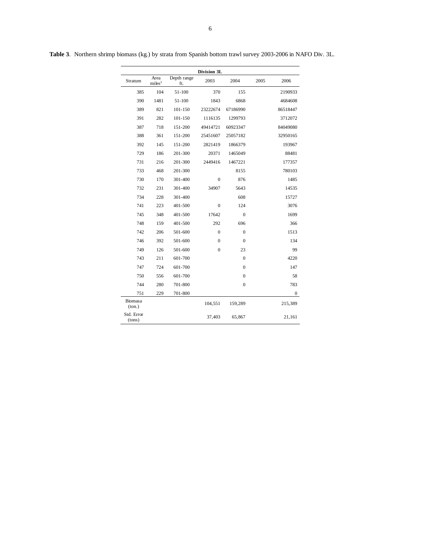|                      |                            |                    | Division 3L    |              |      |              |
|----------------------|----------------------------|--------------------|----------------|--------------|------|--------------|
| Stratum              | Area<br>miles <sup>2</sup> | Depth range<br>ft. | 2003           | 2004         | 2005 | 2006         |
| 385                  | 104                        | 51-100             | 370            | 155          |      | 2190933      |
| 390                  | 1481                       | 51-100             | 1843           | 6868         |      | 4684608      |
| 389                  | 821                        | 101-150            | 23222674       | 67186990     |      | 86518447     |
| 391                  | 282                        | 101-150            | 1116135        | 1299793      |      | 3712072      |
| 387                  | 718                        | 151-200            | 49414721       | 60923347     |      | 84049080     |
| 388                  | 361                        | 151-200            | 25451607       | 25057182     |      | 32950165     |
| 392                  | 145                        | 151-200            | 2821419        | 1866379      |      | 193967       |
| 729                  | 186                        | 201-300            | 20371          | 1465049      |      | 88481        |
| 731                  | 216                        | 201-300            | 2449416        | 1467221      |      | 177357       |
| 733                  | 468                        | 201-300            |                | 8155         |      | 780103       |
| 730                  | 170                        | 301-400            | $\mathbf{0}$   | 876          |      | 1485         |
| 732                  | 231                        | 301-400            | 34907          | 5643         |      | 14535        |
| 734                  | 228                        | 301-400            |                | 608          |      | 15727        |
| 741                  | 223                        | 401-500            | $\overline{0}$ | 124          |      | 3076         |
| 745                  | 348                        | 401-500            | 17642          | $\mathbf{0}$ |      | 1699         |
| 748                  | 159                        | 401-500            | 292            | 696          |      | 366          |
| 742                  | 206                        | 501-600            | $\mathbf{0}$   | $\mathbf{0}$ |      | 1513         |
| 746                  | 392                        | 501-600            | $\overline{0}$ | $\mathbf{0}$ |      | 134          |
| 749                  | 126                        | 501-600            | $\theta$       | 23           |      | 99           |
| 743                  | 211                        | 601-700            |                | $\mathbf{0}$ |      | 4220         |
| 747                  | 724                        | 601-700            |                | $\mathbf{0}$ |      | 147          |
| 750                  | 556                        | 601-700            |                | $\mathbf{0}$ |      | 58           |
| 744                  | 280                        | 701-800            |                | $\mathbf{0}$ |      | 783          |
| 751                  | 229                        | 701-800            |                |              |      | $\mathbf{0}$ |
| Biomasa<br>(ton.)    |                            |                    | 104,551        | 159,289      |      | 215,389      |
| Std. Error<br>(tons) |                            |                    | 37,403         | 65,867       |      | 21,161       |

**Table 3**. Northern shrimp biomass (kg.) by strata from Spanish bottom trawl survey 2003-2006 in NAFO Div. 3L.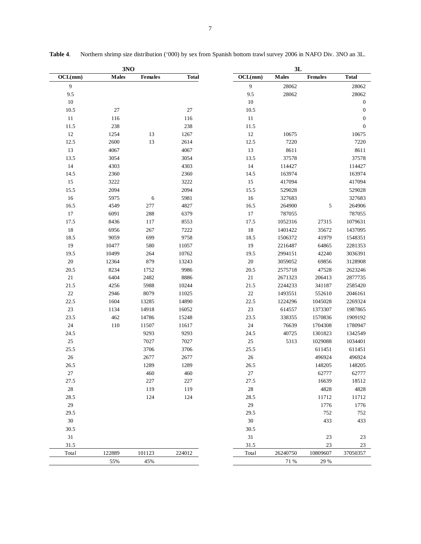|         | 3NO          |                |              | 3L             |              |                |                  |
|---------|--------------|----------------|--------------|----------------|--------------|----------------|------------------|
| OCL(mm) | <b>Males</b> | <b>Females</b> | <b>Total</b> | OCL(mm)        | <b>Males</b> | <b>Females</b> | <b>Total</b>     |
| 9       |              |                |              | $\overline{9}$ | 28062        |                | 28062            |
| 9.5     |              |                |              | 9.5            | 28062        |                | 28062            |
| $10\,$  |              |                |              | $10\,$         |              |                | $\boldsymbol{0}$ |
| 10.5    | 27           |                | 27           | 10.5           |              |                | $\mathbf{0}$     |
| $11\,$  | 116          |                | 116          | 11             |              |                | $\boldsymbol{0}$ |
| 11.5    | 238          |                | 238          | 11.5           |              |                | $\boldsymbol{0}$ |
| $12\,$  | 1254         | 13             | 1267         | 12             | 10675        |                | 10675            |
| 12.5    | 2600         | 13             | 2614         | 12.5           | 7220         |                | 7220             |
| 13      | 4067         |                | 4067         | 13             | 8611         |                | 8611             |
| 13.5    | 3054         |                | 3054         | 13.5           | 37578        |                | 37578            |
| 14      | 4303         |                | 4303         | 14             | 114427       |                | 114427           |
| 14.5    | 2360         |                | 2360         | 14.5           | 163974       |                | 163974           |
| 15      | 3222         |                | 3222         | 15             | 417094       |                | 417094           |
| 15.5    | 2094         |                | 2094         | 15.5           | 529028       |                | 529028           |
| 16      | 5975         | 6              | 5981         | 16             | 327683       |                | 327683           |
| 16.5    | 4549         | 277            | 4827         | 16.5           | 264900       | 5              | 264906           |
| 17      | 6091         | 288            | 6379         | 17             | 787055       |                | 787055           |
| 17.5    | 8436         | 117            | 8553         | 17.5           | 1052316      | 27315          | 1079631          |
| 18      | 6956         | 267            | 7222         | 18             | 1401422      | 35672          | 1437095          |
| 18.5    | 9059         | 699            | 9758         | 18.5           | 1506372      | 41979          | 1548351          |
| 19      | 10477        | 580            | 11057        | 19             | 2216487      | 64865          | 2281353          |
| 19.5    | 10499        | 264            | 10762        | 19.5           | 2994151      | 42240          | 3036391          |
| $20\,$  | 12364        | 879            | 13243        | $20\,$         | 3059052      | 69856          | 3128908          |
| 20.5    | 8234         | 1752           | 9986         | 20.5           | 2575718      | 47528          | 2623246          |
| 21      | 6404         | 2482           | 8886         | 21             | 2671323      | 206413         | 2877735          |
| 21.5    | 4256         | 5988           | 10244        | 21.5           | 2244233      | 341187         | 2585420          |
| $22\,$  | 2946         | 8079           | 11025        | $22\,$         | 1493551      | 552610         | 2046161          |
| 22.5    | 1604         | 13285          | 14890        | 22.5           | 1224296      | 1045028        | 2269324          |
| $23\,$  | 1134         | 14918          | 16052        | 23             | 614557       | 1373307        | 1987865          |
| 23.5    | 462          | 14786          | 15248        | 23.5           | 338355       | 1570836        | 1909192          |
| $24\,$  | 110          | 11507          | 11617        | 24             | 76639        | 1704308        | 1780947          |
| 24.5    |              | 9293           | 9293         | 24.5           | 40725        | 1301823        | 1342549          |
| $25\,$  |              | 7027           | 7027         | 25             | 5313         | 1029088        | 1034401          |
| 25.5    |              | 3706           | 3706         | 25.5           |              | 611451         | 611451           |
| $26\,$  |              | 2677           | 2677         | $26\,$         |              | 496924         | 496924           |
| 26.5    |              | 1289           | 1289         | 26.5           |              | 148205         | 148205           |
| $27\,$  |              | 460            | $460\,$      | $27\,$         |              | 62777          | 62777            |
| 27.5    |              | 227            | 227          | 27.5           |              | 16639          | 18512            |
| $28\,$  |              | 119            | 119          | $28\,$         |              | 4828           | 4828             |
| 28.5    |              | 124            | 124          | 28.5           |              | 11712          | 11712            |
| 29      |              |                |              | 29             |              | 1776           | 1776             |
| 29.5    |              |                |              | 29.5           |              | 752            | 752              |
| $30\,$  |              |                |              | $30\,$         |              | 433            | 433              |
| 30.5    |              |                |              | 30.5           |              |                |                  |
| 31      |              |                |              | 31             |              | 23             | 23               |
| 31.5    |              |                |              | 31.5           |              | 23             | 23               |
| Total   | 122889       | 101123         | 224012       | Total          | 26240750     | 10809607       | 37050357         |
|         | 55%          | 45%            |              |                | 71 %         | 29 %           |                  |

**Table 4**. Northern shrimp size distribution ('000) by sex from Spanish bottom trawl survey 2006 in NAFO Div. 3NO an 3L.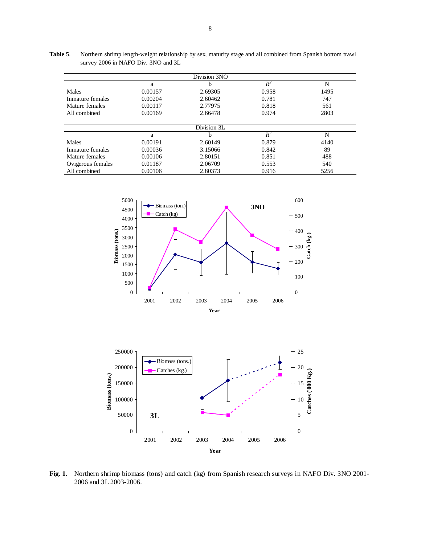|                   |         | Division 3NO |       |      |
|-------------------|---------|--------------|-------|------|
|                   | a       | h            | $R^2$ | N    |
| Males             | 0.00157 | 2.69305      | 0.958 | 1495 |
| Inmature females  | 0.00204 | 2.60462      | 0.781 | 747  |
| Mature females    | 0.00117 | 2.77975      | 0.818 | 561  |
| All combined      | 0.00169 | 2.66478      | 0.974 | 2803 |
|                   |         | Division 3L  |       |      |
|                   | a       | h            | $R^2$ | N    |
| Males             | 0.00191 | 2.60149      | 0.879 | 4140 |
| Inmature females  | 0.00036 | 3.15066      | 0.842 | 89   |
| Mature females    | 0.00106 | 2.80151      | 0.851 | 488  |
| Ovigerous females | 0.01187 | 2.06709      | 0.553 | 540  |
| All combined      | 0.00106 | 2.80373      | 0.916 | 5256 |

**Table 5**. Northern shrimp length-weight relationship by sex, maturity stage and all combined from Spanish bottom trawl survey 2006 in NAFO Div. 3NO and 3L





**Fig. 1**. Northern shrimp biomass (tons) and catch (kg) from Spanish research surveys in NAFO Div. 3NO 2001- 2006 and 3L 2003-2006.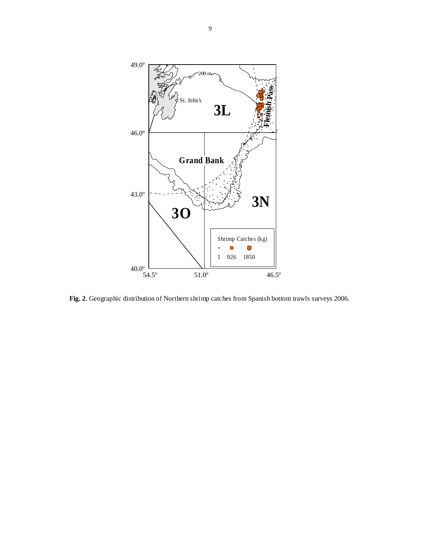

**Fig. 2**. Geographic distribution of Northern shrimp catches from Spanish bottom trawls surveys 2006.